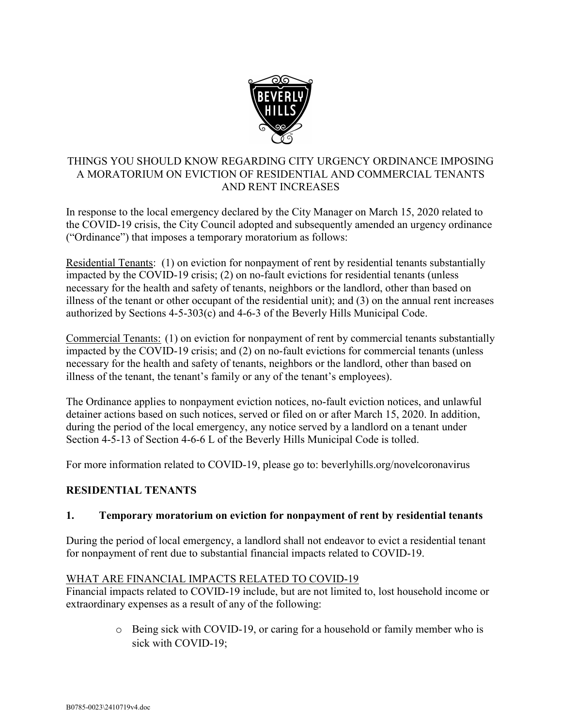

### THINGS YOU SHOULD KNOW REGARDING CITY URGENCY ORDINANCE IMPOSING A MORATORIUM ON EVICTION OF RESIDENTIAL AND COMMERCIAL TENANTS AND RENT INCREASES

In response to the local emergency declared by the City Manager on March 15, 2020 related to the COVID-19 crisis, the City Council adopted and subsequently amended an urgency ordinance ("Ordinance") that imposes a temporary moratorium as follows:

Residential Tenants: (1) on eviction for nonpayment of rent by residential tenants substantially impacted by the COVID-19 crisis; (2) on no-fault evictions for residential tenants (unless necessary for the health and safety of tenants, neighbors or the landlord, other than based on illness of the tenant or other occupant of the residential unit); and (3) on the annual rent increases authorized by Sections 4-5-303(c) and 4-6-3 of the Beverly Hills Municipal Code.

Commercial Tenants: (1) on eviction for nonpayment of rent by commercial tenants substantially impacted by the COVID-19 crisis; and (2) on no-fault evictions for commercial tenants (unless necessary for the health and safety of tenants, neighbors or the landlord, other than based on illness of the tenant, the tenant's family or any of the tenant's employees).

The Ordinance applies to nonpayment eviction notices, no-fault eviction notices, and unlawful detainer actions based on such notices, served or filed on or after March 15, 2020. In addition, during the period of the local emergency, any notice served by a landlord on a tenant under Section 4-5-13 of Section 4-6-6 L of the Beverly Hills Municipal Code is tolled.

For more information related to COVID-19, please go to: beverlyhills.org/novelcoronavirus

#### RESIDENTIAL TENANTS

#### 1. Temporary moratorium on eviction for nonpayment of rent by residential tenants

During the period of local emergency, a landlord shall not endeavor to evict a residential tenant for nonpayment of rent due to substantial financial impacts related to COVID-19.

#### WHAT ARE FINANCIAL IMPACTS RELATED TO COVID-19

Financial impacts related to COVID-19 include, but are not limited to, lost household income or extraordinary expenses as a result of any of the following:

> o Being sick with COVID-19, or caring for a household or family member who is sick with COVID-19;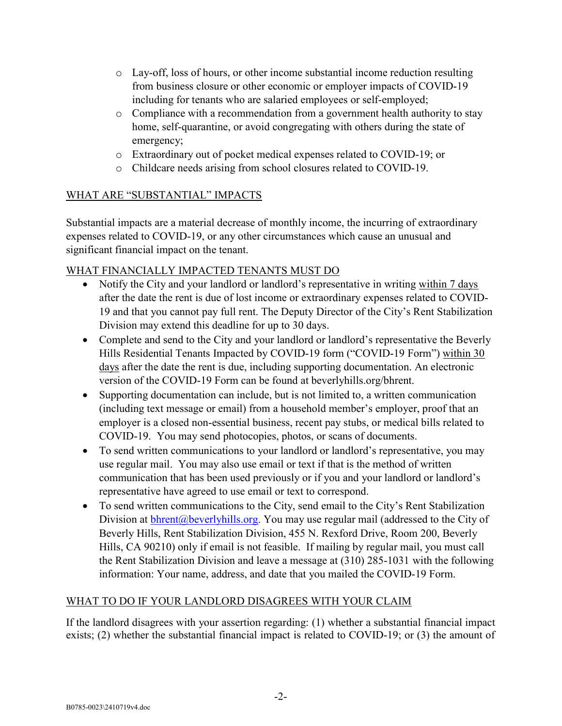- o Lay-off, loss of hours, or other income substantial income reduction resulting from business closure or other economic or employer impacts of COVID-19 including for tenants who are salaried employees or self-employed;
- o Compliance with a recommendation from a government health authority to stay home, self-quarantine, or avoid congregating with others during the state of emergency;
- o Extraordinary out of pocket medical expenses related to COVID-19; or
- o Childcare needs arising from school closures related to COVID-19.

## WHAT ARE "SUBSTANTIAL" IMPACTS

Substantial impacts are a material decrease of monthly income, the incurring of extraordinary expenses related to COVID-19, or any other circumstances which cause an unusual and significant financial impact on the tenant.

## WHAT FINANCIALLY IMPACTED TENANTS MUST DO

- Notify the City and your landlord or landlord's representative in writing within 7 days after the date the rent is due of lost income or extraordinary expenses related to COVID-19 and that you cannot pay full rent. The Deputy Director of the City's Rent Stabilization Division may extend this deadline for up to 30 days.
- Complete and send to the City and your landlord or landlord's representative the Beverly Hills Residential Tenants Impacted by COVID-19 form ("COVID-19 Form") within 30 days after the date the rent is due, including supporting documentation. An electronic version of the COVID-19 Form can be found at beverlyhills.org/bhrent.
- Supporting documentation can include, but is not limited to, a written communication (including text message or email) from a household member's employer, proof that an employer is a closed non-essential business, recent pay stubs, or medical bills related to COVID-19. You may send photocopies, photos, or scans of documents.
- To send written communications to your landlord or landlord's representative, you may use regular mail. You may also use email or text if that is the method of written communication that has been used previously or if you and your landlord or landlord's representative have agreed to use email or text to correspond.
- To send written communications to the City, send email to the City's Rent Stabilization Division at  $blrent@beverlyhills.org$ . You may use regular mail (addressed to the City of Beverly Hills, Rent Stabilization Division, 455 N. Rexford Drive, Room 200, Beverly Hills, CA 90210) only if email is not feasible. If mailing by regular mail, you must call the Rent Stabilization Division and leave a message at (310) 285-1031 with the following information: Your name, address, and date that you mailed the COVID-19 Form.

# WHAT TO DO IF YOUR LANDLORD DISAGREES WITH YOUR CLAIM

If the landlord disagrees with your assertion regarding: (1) whether a substantial financial impact exists; (2) whether the substantial financial impact is related to COVID-19; or (3) the amount of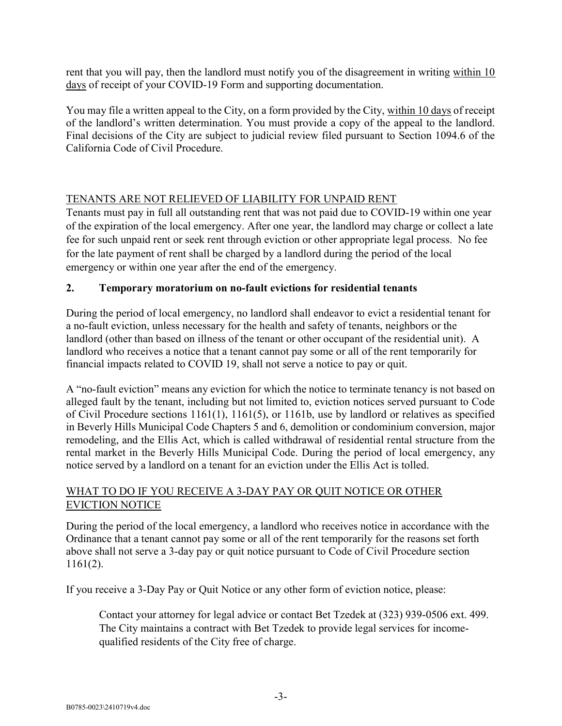rent that you will pay, then the landlord must notify you of the disagreement in writing within 10 days of receipt of your COVID-19 Form and supporting documentation.

You may file a written appeal to the City, on a form provided by the City, within 10 days of receipt of the landlord's written determination. You must provide a copy of the appeal to the landlord. Final decisions of the City are subject to judicial review filed pursuant to Section 1094.6 of the California Code of Civil Procedure.

## TENANTS ARE NOT RELIEVED OF LIABILITY FOR UNPAID RENT

Tenants must pay in full all outstanding rent that was not paid due to COVID-19 within one year of the expiration of the local emergency. After one year, the landlord may charge or collect a late fee for such unpaid rent or seek rent through eviction or other appropriate legal process. No fee for the late payment of rent shall be charged by a landlord during the period of the local emergency or within one year after the end of the emergency.

## 2. Temporary moratorium on no-fault evictions for residential tenants

During the period of local emergency, no landlord shall endeavor to evict a residential tenant for a no-fault eviction, unless necessary for the health and safety of tenants, neighbors or the landlord (other than based on illness of the tenant or other occupant of the residential unit). A landlord who receives a notice that a tenant cannot pay some or all of the rent temporarily for financial impacts related to COVID 19, shall not serve a notice to pay or quit.

A "no-fault eviction" means any eviction for which the notice to terminate tenancy is not based on alleged fault by the tenant, including but not limited to, eviction notices served pursuant to Code of Civil Procedure sections 1161(1), 1161(5), or 1161b, use by landlord or relatives as specified in Beverly Hills Municipal Code Chapters 5 and 6, demolition or condominium conversion, major remodeling, and the Ellis Act, which is called withdrawal of residential rental structure from the rental market in the Beverly Hills Municipal Code. During the period of local emergency, any notice served by a landlord on a tenant for an eviction under the Ellis Act is tolled.

## WHAT TO DO IF YOU RECEIVE A 3-DAY PAY OR QUIT NOTICE OR OTHER EVICTION NOTICE

During the period of the local emergency, a landlord who receives notice in accordance with the Ordinance that a tenant cannot pay some or all of the rent temporarily for the reasons set forth above shall not serve a 3-day pay or quit notice pursuant to Code of Civil Procedure section 1161(2).

If you receive a 3-Day Pay or Quit Notice or any other form of eviction notice, please:

Contact your attorney for legal advice or contact Bet Tzedek at (323) 939-0506 ext. 499. The City maintains a contract with Bet Tzedek to provide legal services for incomequalified residents of the City free of charge.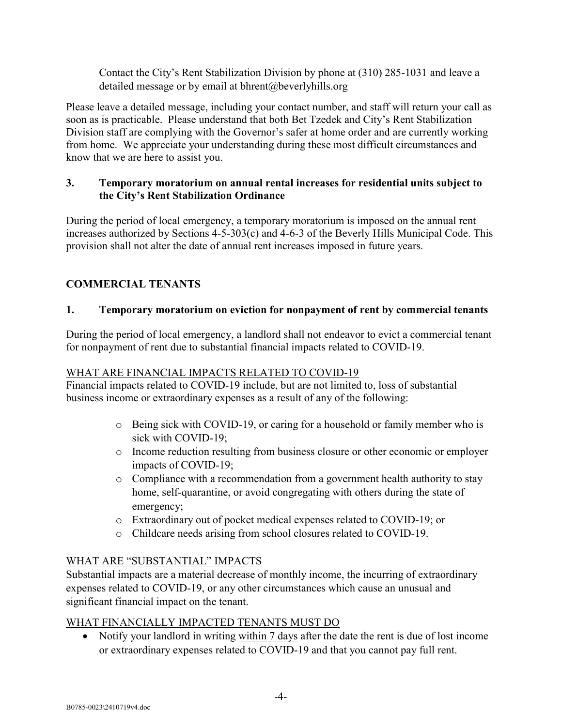Contact the City's Rent Stabilization Division by phone at (310) 285-1031 and leave a detailed message or by email at bhrent@beverlyhills.org

Please leave a detailed message, including your contact number, and staff will return your call as soon as is practicable. Please understand that both Bet Tzedek and City's Rent Stabilization Division staff are complying with the Governor's safer at home order and are currently working from home. We appreciate your understanding during these most difficult circumstances and know that we are here to assist you.

### 3. Temporary moratorium on annual rental increases for residential units subject to the City's Rent Stabilization Ordinance

During the period of local emergency, a temporary moratorium is imposed on the annual rent increases authorized by Sections 4-5-303(c) and 4-6-3 of the Beverly Hills Municipal Code. This provision shall not alter the date of annual rent increases imposed in future years.

# COMMERCIAL TENANTS

## 1. Temporary moratorium on eviction for nonpayment of rent by commercial tenants

During the period of local emergency, a landlord shall not endeavor to evict a commercial tenant for nonpayment of rent due to substantial financial impacts related to COVID-19.

## WHAT ARE FINANCIAL IMPACTS RELATED TO COVID-19

Financial impacts related to COVID-19 include, but are not limited to, loss of substantial business income or extraordinary expenses as a result of any of the following:

- o Being sick with COVID-19, or caring for a household or family member who is sick with COVID-19;
- o Income reduction resulting from business closure or other economic or employer impacts of COVID-19;
- o Compliance with a recommendation from a government health authority to stay home, self-quarantine, or avoid congregating with others during the state of emergency;
- o Extraordinary out of pocket medical expenses related to COVID-19; or
- o Childcare needs arising from school closures related to COVID-19.

## WHAT ARE "SUBSTANTIAL" IMPACTS

Substantial impacts are a material decrease of monthly income, the incurring of extraordinary expenses related to COVID-19, or any other circumstances which cause an unusual and significant financial impact on the tenant.

## WHAT FINANCIALLY IMPACTED TENANTS MUST DO

• Notify your landlord in writing within 7 days after the date the rent is due of lost income or extraordinary expenses related to COVID-19 and that you cannot pay full rent.